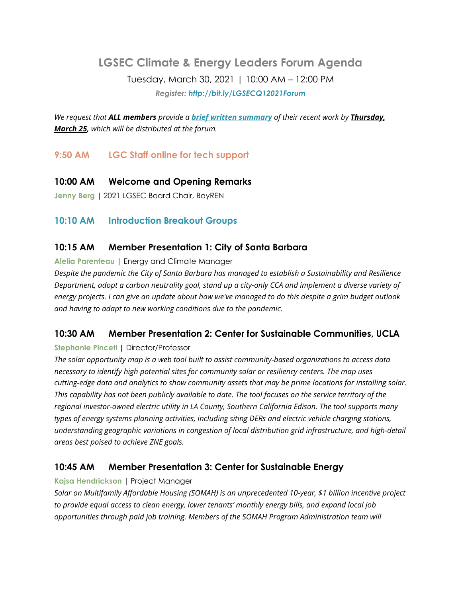# **LGSEC Climate & Energy Leaders Forum Agenda** Tuesday, March 30, 2021 | 10:00 AM – 12:00 PM *Register: <http://bit.ly/LGSECQ12021Forum>*

*We request that ALL members provide a brief written [summary](https://docs.google.com/forms/d/e/1FAIpQLSd2objIYsKN_u9pBV5YdE9zceIUJZEeJrIwN-pJWcDJoQcWpg/viewform?usp=sf_link) of their recent work by Thursday, March 25, which will be distributed at the forum.*

# **9:50 AM LGC Staff online for tech support**

**10:00 AM Welcome and Opening Remarks**

**Jenny Berg |** 2021 LGSEC Board Chair, BayREN

## **10:10 AM Introduction Breakout Groups**

#### **10:15 AM Member Presentation 1: City of Santa Barbara**

**Alelia Parenteau |** Energy and Climate Manager

*Despite the pandemic the City of Santa Barbara has managed to establish a Sustainability and Resilience Department, adopt a carbon neutrality goal, stand up a city-only CCA and implement a diverse variety of* energy projects. I can give an update about how we've managed to do this despite a grim budget outlook *and having to adapt to new working conditions due to the pandemic.*

# **10:30 AM Member Presentation 2: Center for Sustainable Communities, UCLA**

#### **Stephanie Pincetl |** Director/Professor

*The solar opportunity map is a web tool built to assist community-based organizations to access data necessary to identify high potential sites for community solar or resiliency centers. The map uses cutting-edge data and analytics to show community assets that may be prime locations for installing solar.* This capability has not been publicly available to date. The tool focuses on the service territory of the *regional investor-owned electric utility in LA County, Southern California Edison. The tool supports many types of energy systems planning activities, including siting DERs and electric vehicle charging stations, understanding geographic variations in congestion of local distribution grid infrastructure, and high-detail areas best poised to achieve ZNE goals.*

### **10:45 AM Member Presentation 3: Center for Sustainable Energy**

**Kajsa Hendrickson |** Project Manager

*Solar on Multifamily Affordable Housing (SOMAH) is an unprecedented 10-year, \$1 billion incentive project to provide equal access to clean energy, lower tenants' monthly energy bills, and expand local job opportunities through paid job training. Members of the SOMAH Program Administration team will*